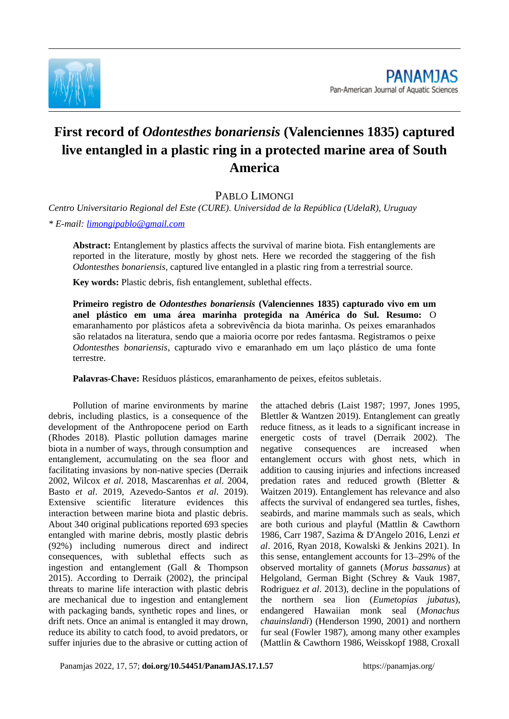

## **First record of** *Odontesthes bonariensis* **(Valenciennes 1835) captured live entangled in a plastic ring in a protected marine area of South America**

PABLO LIMONGI

*Centro Universitario Regional del Este (CURE). Universidad de la República (UdelaR), Uruguay*

*\* E-mail: [limongipablo@gmail.com](mailto:limongipablo@gmail.com)*

**Abstract:** Entanglement by plastics affects the survival of marine biota. Fish entanglements are reported in the literature, mostly by ghost nets. Here we recorded the staggering of the fish *Odontesthes bonariensis*, captured live entangled in a plastic ring from a terrestrial source.

**Key words:** Plastic debris, fish entanglement, sublethal effects.

**Primeiro registro de** *Odontesthes bonariensis* **(Valenciennes 1835) capturado vivo em um anel plástico em uma área marinha protegida na América do Sul. Resumo:** O emaranhamento por plásticos afeta a sobrevivência da biota marinha. Os peixes emaranhados são relatados na literatura, sendo que a maioria ocorre por redes fantasma. Registramos o peixe *Odontesthes bonariensis*, capturado vivo e emaranhado em um laço plástico de uma fonte terrestre.

**Palavras-Chave:** Resíduos plásticos, emaranhamento de peixes, efeitos subletais.

Pollution of marine environments by marine debris, including plastics, is a consequence of the development of the Anthropocene period on Earth (Rhodes 2018). Plastic pollution damages marine biota in a number of ways, through consumption and entanglement, accumulating on the sea floor and facilitating invasions by non-native species (Derraik 2002, Wilcox *et al*. 2018, Mascarenhas *et al*. 2004, Basto *et al*. 2019, Azevedo-Santos *et al*. 2019). Extensive scientific literature evidences this interaction between marine biota and plastic debris. About 340 original publications reported 693 species entangled with marine debris, mostly plastic debris (92%) including numerous direct and indirect consequences, with sublethal effects such as ingestion and entanglement (Gall & Thompson 2015). According to Derraik (2002), the principal threats to marine life interaction with plastic debris are mechanical due to ingestion and entanglement with packaging bands, synthetic ropes and lines, or drift nets. Once an animal is entangled it may drown, reduce its ability to catch food, to avoid predators, or suffer injuries due to the abrasive or cutting action of

the attached debris (Laist 1987; 1997, Jones 1995, Blettler & Wantzen 2019). Entanglement can greatly reduce fitness, as it leads to a significant increase in energetic costs of travel (Derraik 2002). The negative consequences are increased when entanglement occurs with ghost nets, which in addition to causing injuries and infections increased predation rates and reduced growth (Bletter & Waitzen 2019). Entanglement has relevance and also affects the survival of endangered sea turtles, fishes, seabirds, and marine mammals such as seals, which are both curious and playful (Mattlin & Cawthorn 1986, Carr 1987, Sazima & D'Angelo 2016, Lenzi *et al*. 2016, Ryan 2018, Kowalski & Jenkins 2021). In this sense, entanglement accounts for 13–29% of the observed mortality of gannets (*Morus bassanus*) at Helgoland, German Bight (Schrey & Vauk 1987, Rodriguez *et al*. 2013), decline in the populations of the northern sea lion (*Eumetopias jubatus*), endangered Hawaiian monk seal (*Monachus chauinslandi*) (Henderson 1990, 2001) and northern fur seal (Fowler 1987), among many other examples (Mattlin & Cawthorn 1986, Weisskopf 1988, Croxall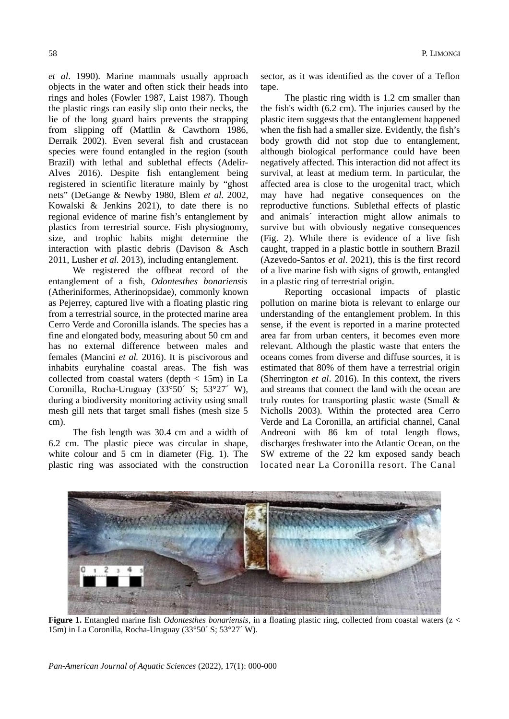*et al*. 1990). Marine mammals usually approach objects in the water and often stick their heads into rings and holes (Fowler 1987, Laist 1987). Though the plastic rings can easily slip onto their necks, the lie of the long guard hairs prevents the strapping from slipping off (Mattlin & Cawthorn 1986, Derraik 2002). Even several fish and crustacean species were found entangled in the region (south Brazil) with lethal and sublethal effects (Adelir-Alves 2016). Despite fish entanglement being registered in scientific literature mainly by "ghost nets" (DeGange & Newby 1980, Blem *et al.* 2002, Kowalski & Jenkins 2021), to date there is no regional evidence of marine fish's entanglement by plastics from terrestrial source. Fish physiognomy, size, and trophic habits might determine the interaction with plastic debris (Davison & Asch 2011, Lusher *et al.* 2013), including entanglement.

We registered the offbeat record of the entanglement of a fish, *Odontesthes bonariensis* (Atheriniformes, Atherinopsidae)*,* commonly known as Pejerrey, captured live with a floating plastic ring from a terrestrial source, in the protected marine area Cerro Verde and Coronilla islands. The species has a fine and elongated body, measuring about 50 cm and has no external difference between males and females (Mancini *et al.* 2016). It is piscivorous and inhabits euryhaline coastal areas. The fish was collected from coastal waters (depth < 15m) in La Coronilla, Rocha-Uruguay (33°50´ S; 53°27´ W), during a biodiversity monitoring activity using small mesh gill nets that target small fishes (mesh size 5 cm).

The fish length was 30.4 cm and a width of 6.2 cm. The plastic piece was circular in shape, white colour and 5 cm in diameter (Fig. 1). The plastic ring was associated with the construction sector, as it was identified as the cover of a Teflon tape.

The plastic ring width is 1.2 cm smaller than the fish's width (6.2 cm). The injuries caused by the plastic item suggests that the entanglement happened when the fish had a smaller size. Evidently, the fish's body growth did not stop due to entanglement, although biological performance could have been negatively affected. This interaction did not affect its survival, at least at medium term. In particular, the affected area is close to the urogenital tract, which may have had negative consequences on the reproductive functions. Sublethal effects of plastic and animals´ interaction might allow animals to survive but with obviously negative consequences (Fig. 2). While there is evidence of a live fish caught, trapped in a plastic bottle in southern Brazil (Azevedo-Santos *et al*. 2021), this is the first record of a live marine fish with signs of growth, entangled in a plastic ring of terrestrial origin.

Reporting occasional impacts of plastic pollution on marine biota is relevant to enlarge our understanding of the entanglement problem. In this sense, if the event is reported in a marine protected area far from urban centers, it becomes even more relevant. Although the plastic waste that enters the oceans comes from diverse and diffuse sources, it is estimated that 80% of them have a terrestrial origin (Sherrington *et al*. 2016). In this context, the rivers and streams that connect the land with the ocean are truly routes for transporting plastic waste (Small & Nicholls 2003). Within the protected area Cerro Verde and La Coronilla, an artificial channel, Canal Andreoni with 86 km of total length flows, discharges freshwater into the Atlantic Ocean, on the SW extreme of the 22 km exposed sandy beach located near La Coronilla resort. The Canal



**Figure 1.** Entangled marine fish *Odontesthes bonariensis*, in a floating plastic ring, collected from coastal waters (z < 15m) in La Coronilla, Rocha-Uruguay (33°50´ S; 53°27´ W).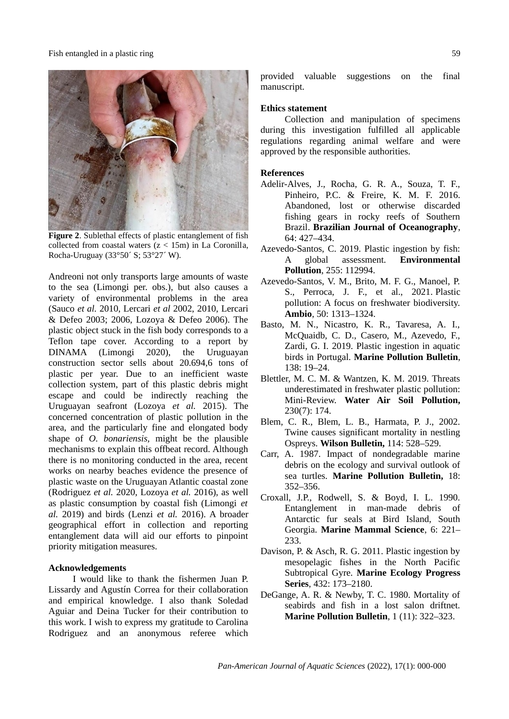

**Figure 2**. Sublethal effects of plastic entanglement of fish collected from coastal waters  $(z < 15m)$  in La Coronilla, Rocha-Uruguay (33°50´ S; 53°27´ W).

Andreoni not only transports large amounts of waste to the sea (Limongi per. obs.), but also causes a variety of environmental problems in the area (Sauco *et al.* 2010, Lercari *et al* 2002, 2010, Lercari & Defeo 2003; 2006, Lozoya & Defeo 2006). The plastic object stuck in the fish body corresponds to a Teflon tape cover. According to a report by DINAMA (Limongi 2020), the Uruguayan construction sector sells about 20.694,6 tons of plastic per year. Due to an inefficient waste collection system, part of this plastic debris might escape and could be indirectly reaching the Uruguayan seafront (Lozoya *et al.* 2015). The concerned concentration of plastic pollution in the area, and the particularly fine and elongated body shape of *O. bonariensis,* might be the plausible mechanisms to explain this offbeat record. Although there is no monitoring conducted in the area, recent works on nearby beaches evidence the presence of plastic waste on the Uruguayan Atlantic coastal zone (Rodriguez *et al.* 2020, Lozoya *et al.* 2016), as well as plastic consumption by coastal fish (Limongi *et al.* 2019) and birds (Lenzi *et al.* 2016). A broader geographical effort in collection and reporting entanglement data will aid our efforts to pinpoint priority mitigation measures.

## **Acknowledgements**

I would like to thank the fishermen Juan P. Lissardy and Agustín Correa for their collaboration and empirical knowledge. I also thank Soledad Aguiar and Deina Tucker for their contribution to this work. I wish to express my gratitude to Carolina Rodriguez and an anonymous referee which

provided valuable suggestions on the final manuscript.

## **Ethics statement**

Collection and manipulation of specimens during this investigation fulfilled all applicable regulations regarding animal welfare and were approved by the responsible authorities.

## **References**

- Adelir-Alves, J., Rocha, G. R. A., Souza, T. F., Pinheiro, P.C. & Freire, K. M. F. 2016. Abandoned, lost or otherwise discarded fishing gears in rocky reefs of Southern Brazil. **Brazilian Journal of Oceanography**, 64: 427–434.
- Azevedo-Santos, C. 2019. Plastic ingestion by fish: A global assessment. **Environmental Pollution**, 255: 112994.
- Azevedo-Santos, V. M., Brito, M. F. G., Manoel, P. S., Perroca, J. F., et al., 2021. Plastic pollution: A focus on freshwater biodiversity. **Ambio**, 50: 1313–1324.
- Basto, M. N., Nicastro, K. R., Tavaresa, A. I., McQuaidb, C. D., Casero, M., Azevedo, F., Zardi, G. I. 2019. Plastic ingestion in aquatic birds in Portugal. **Marine Pollution Bulletin**, 138: 19–24.
- Blettler, M. C. M. & Wantzen, K. M. 2019. Threats underestimated in freshwater plastic pollution: Mini-Review. **Water Air Soil Pollution,** 230(7): 174.
- Blem, C. R., Blem, L. B., Harmata, P. J., 2002. Twine causes significant mortality in nestling Ospreys. **Wilson Bulletin,** 114: 528–529.
- Carr, A. 1987. Impact of nondegradable marine debris on the ecology and survival outlook of sea turtles. **Marine Pollution Bulletin,** 18: 352–356.
- Croxall, J.P., Rodwell, S. & Boyd, I. L. 1990. Entanglement in man-made debris of Antarctic fur seals at Bird Island, South Georgia. **Marine Mammal Science**, 6: 221– 233.
- Davison, P. & Asch, R. G. 2011. Plastic ingestion by mesopelagic fishes in the North Pacific Subtropical Gyre. **Marine Ecology Progress Series**, 432: 173–2180.
- DeGange, A. R. & Newby, T. C. 1980. Mortality of seabirds and fish in a lost salon driftnet. **Marine Pollution Bulletin**, 1 (11): 322–323.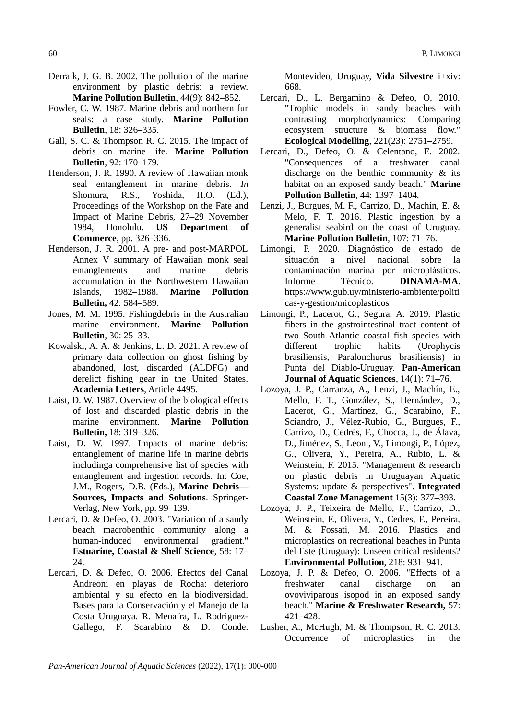- Derraik, J. G. B. 2002. The pollution of the marine environment by plastic debris: a review. **Marine Pollution Bulletin**, 44(9): 842–852.
- Fowler, C. W. 1987. Marine debris and northern fur seals: a case study. **Marine Pollution Bulletin**, 18: 326–335.
- Gall, S. C. & Thompson R. C. 2015. The impact of debris on marine life. **Marine Pollution Bulletin**, 92: 170–179.
- Henderson, J. R. 1990. A review of Hawaiian monk seal entanglement in marine debris. *In* Shomura, R.S., Yoshida, H.O. (Ed.), Proceedings of the Workshop on the Fate and Impact of Marine Debris, 27–29 November 1984, Honolulu. **US Department of Commerce**, pp. 326–336.
- Henderson, J. R. 2001. A pre- and post-MARPOL Annex V summary of Hawaiian monk seal entanglements and marine debris accumulation in the Northwestern Hawaiian Islands, 1982–1988. **Marine Pollution Bulletin,** 42: 584–589.
- Jones, M. M. 1995. Fishingdebris in the Australian marine environment. **Marine Pollution Bulletin**, 30: 25–33.
- Kowalski, A. A. & Jenkins, L. D. 2021. A review of primary data collection on ghost fishing by abandoned, lost, discarded (ALDFG) and derelict fishing gear in the United States. **Academia Letters**, Article 4495.
- Laist, D. W. 1987. Overview of the biological effects of lost and discarded plastic debris in the marine environment. **Marine Pollution Bulletin,** 18: 319–326.
- Laist, D. W. 1997. Impacts of marine debris: entanglement of marine life in marine debris includinga comprehensive list of species with entanglement and ingestion records. In: Coe, J.M., Rogers, D.B. (Eds.), **Marine Debris–– Sources, Impacts and Solutions**. Springer-Verlag, New York, pp. 99–139.
- Lercari, D. & Defeo, O. 2003. "Variation of a sandy beach macrobenthic community along a human-induced environmental gradient." **Estuarine, Coastal & Shelf Science**, 58: 17– 24.
- Lercari, D. & Defeo, O. 2006. Efectos del Canal Andreoni en playas de Rocha: deterioro ambiental y su efecto en la biodiversidad. Bases para la Conservación y el Manejo de la Costa Uruguaya. R. Menafra, L. Rodriguez-Gallego, F. Scarabino & D. Conde.

Montevideo, Uruguay, **Vida Silvestre** i+xiv: 668.

- Lercari, D., L. Bergamino & Defeo, O. 2010. "Trophic models in sandy beaches with contrasting morphodynamics: Comparing ecosystem structure & biomass flow." **Ecological Modelling**, 221(23): 2751–2759.
- Lercari, D., Defeo, O. & Celentano, E. 2002. "Consequences of a freshwater canal discharge on the benthic community & its habitat on an exposed sandy beach." **Marine Pollution Bulletin**, 44: 1397–1404.
- Lenzi, J., Burgues, M. F., Carrizo, D., Machin, E. & Melo, F. T. 2016. Plastic ingestion by a generalist seabird on the coast of Uruguay. **Marine Pollution Bulletin**, 107: 71–76.
- Limongi, P. 2020. Diagnóstico de estado de situación a nivel nacional sobre la contaminación marina por microplásticos. Informe Técnico. **DINAMA-MA**. https://www.gub.uy/ministerio-ambiente/politi cas-y-gestion/micoplasticos
- Limongi, P., Lacerot, G., Segura, A. 2019. Plastic fibers in the gastrointestinal tract content of two South Atlantic coastal fish species with different trophic habits (Urophycis brasiliensis, Paralonchurus brasiliensis) in Punta del Diablo-Uruguay. **Pan-American Journal of Aquatic Sciences**, 14(1): 71–76.
- Lozoya, J. P., Carranza, A., Lenzi, J., Machín, E., Mello, F. T., González, S., Hernández, D., Lacerot, G., Martínez, G., Scarabino, F., Sciandro, J., Vélez-Rubio, G., Burgues, F., Carrizo, D., Cedrés, F., Chocca, J., de Álava, D., Jiménez, S., Leoni, V., Limongi, P., López, G., Olivera, Y., Pereira, A., Rubio, L. & Weinstein, F. 2015. "Management & research on plastic debris in Uruguayan Aquatic Systems: update & perspectives". **Integrated Coastal Zone Management** 15(3): 377–393.
- Lozoya, J. P., Teixeira de Mello, F., Carrizo, D., Weinstein, F., Olivera, Y., Cedres, F., Pereira, M. & Fossati, M. 2016. Plastics and microplastics on recreational beaches in Punta del Este (Uruguay): Unseen critical residents? **Environmental Pollution**, 218: 931–941.
- Lozoya, J. P. & Defeo, O. 2006. "Effects of a freshwater canal discharge on an ovoviviparous isopod in an exposed sandy beach." **Marine & Freshwater Research,** 57: 421–428.
- Lusher, A., McHugh, M. & Thompson, R. C. 2013. Occurrence of microplastics in the